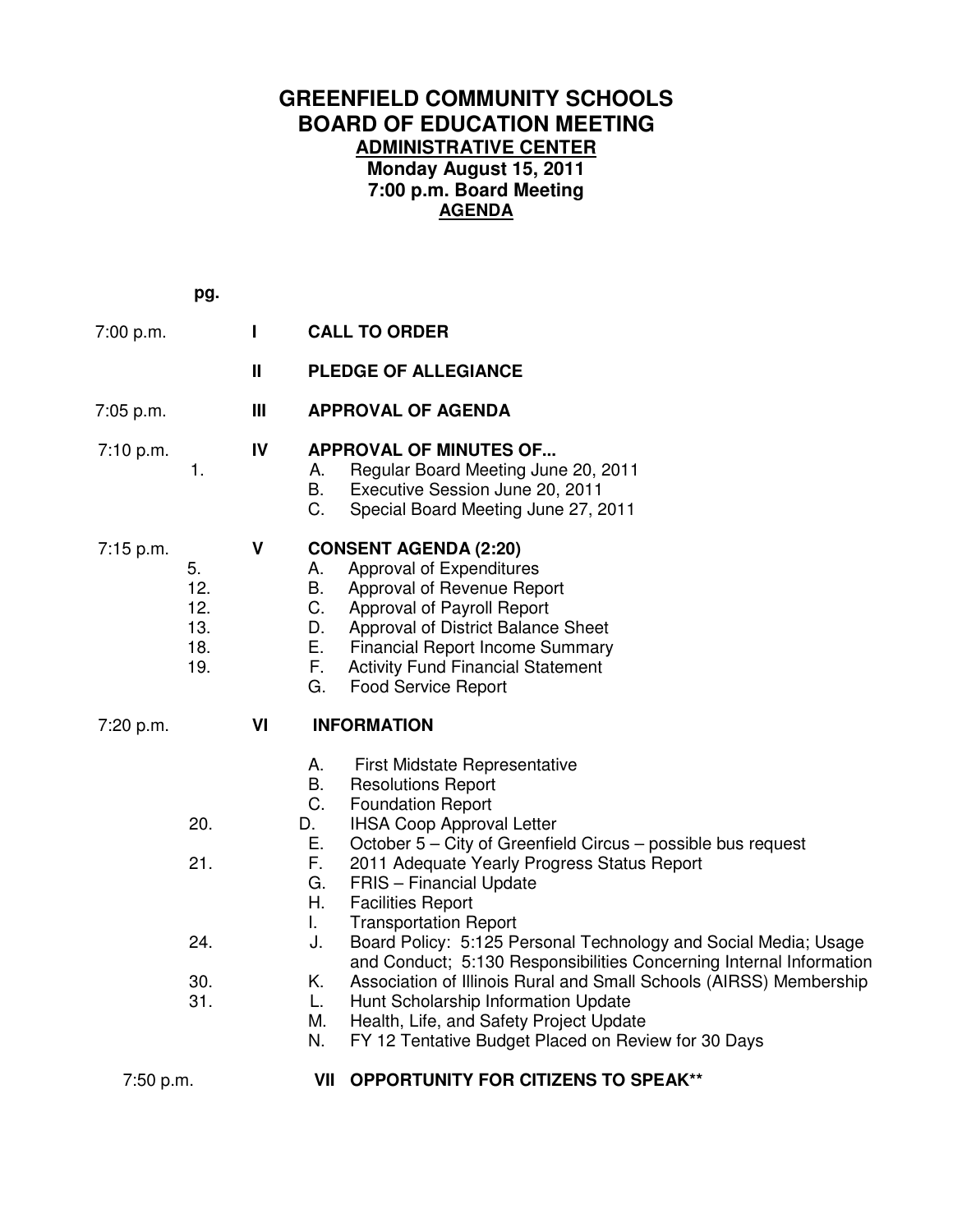## **GREENFIELD COMMUNITY SCHOOLS BOARD OF EDUCATION MEETING ADMINISTRATIVE CENTER Monday August 15, 2011 7:00 p.m. Board Meeting AGENDA**

 **pg.** 7:00 p.m. **I CALL TO ORDER II PLEDGE OF ALLEGIANCE**  7:05 p.m. **III APPROVAL OF AGENDA**  7:10 p.m. **IV APPROVAL OF MINUTES OF...**  1. A. Regular Board Meeting June 20, 2011 B. Executive Session June 20, 2011 C. Special Board Meeting June 27, 2011 7:15 p.m. **V CONSENT AGENDA (2:20)** 5. A. Approval of Expenditures 12. B. Approval of Revenue Report 12. C. Approval of Payroll Report 13. D. Approval of District Balance Sheet 18. E. Financial Report Income Summary 19. F. Activity Fund Financial Statement G. Food Service Report 7:20 p.m. **VI INFORMATION** A. First Midstate Representative B. Resolutions Report C. Foundation Report 20. D. IHSA Coop Approval Letter E. October 5 – City of Greenfield Circus – possible bus request 21. F. 2011 Adequate Yearly Progress Status Report G. FRIS – Financial Update H. Facilities Report I. Transportation Report 24. J. Board Policy: 5:125 Personal Technology and Social Media; Usage and Conduct; 5:130 Responsibilities Concerning Internal Information 30. K. Association of Illinois Rural and Small Schools (AIRSS) Membership 31. L. Hunt Scholarship Information Update M. Health, Life, and Safety Project Update N. FY 12 Tentative Budget Placed on Review for 30 Days 7:50 p.m. **VII OPPORTUNITY FOR CITIZENS TO SPEAK\*\***